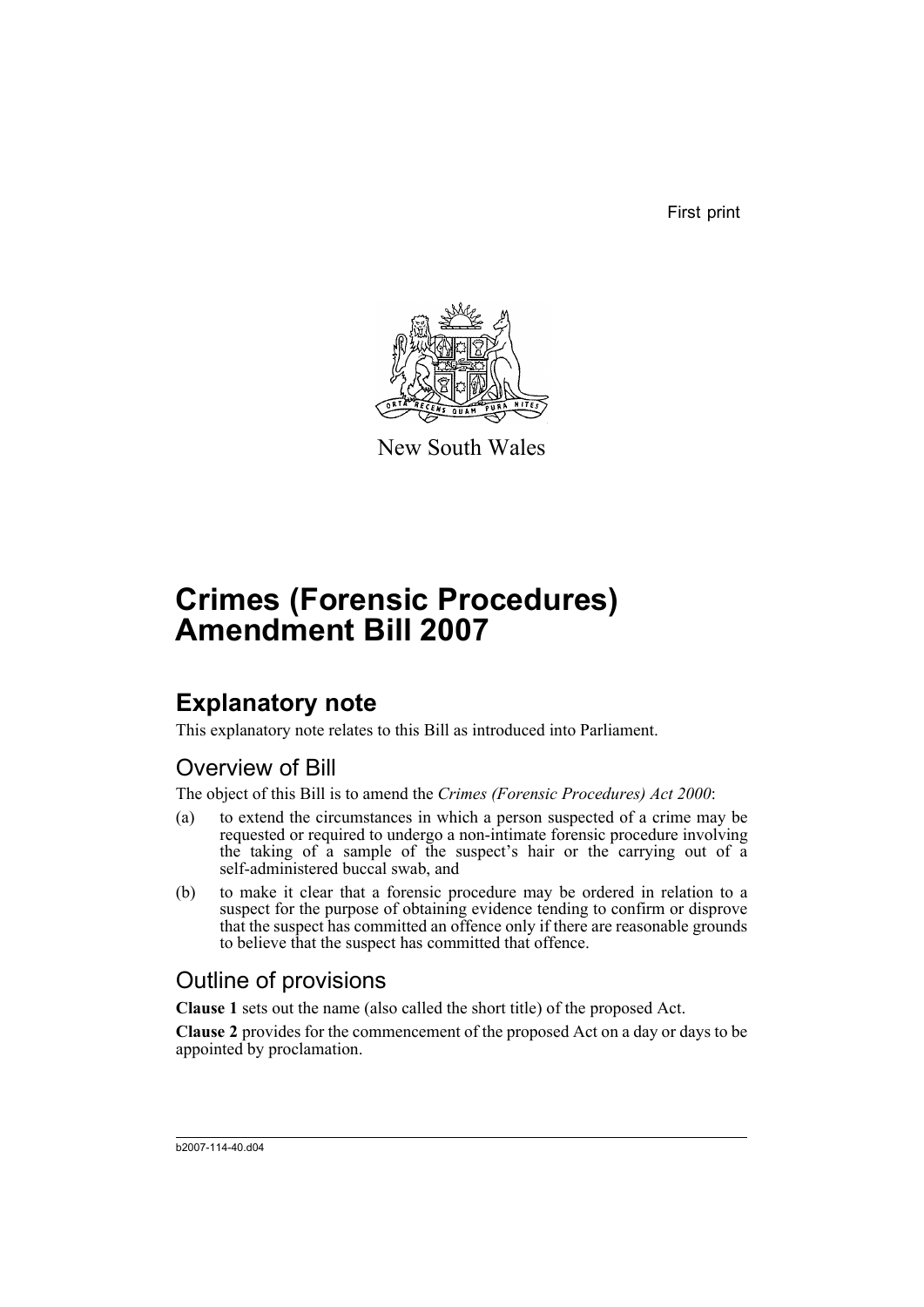First print



New South Wales

# **Crimes (Forensic Procedures) Amendment Bill 2007**

# **Explanatory note**

This explanatory note relates to this Bill as introduced into Parliament.

## Overview of Bill

The object of this Bill is to amend the *Crimes (Forensic Procedures) Act 2000*:

- (a) to extend the circumstances in which a person suspected of a crime may be requested or required to undergo a non-intimate forensic procedure involving the taking of a sample of the suspect's hair or the carrying out of a self-administered buccal swab, and
- (b) to make it clear that a forensic procedure may be ordered in relation to a suspect for the purpose of obtaining evidence tending to confirm or disprove that the suspect has committed an offence only if there are reasonable grounds to believe that the suspect has committed that offence.

## Outline of provisions

**Clause 1** sets out the name (also called the short title) of the proposed Act.

**Clause 2** provides for the commencement of the proposed Act on a day or days to be appointed by proclamation.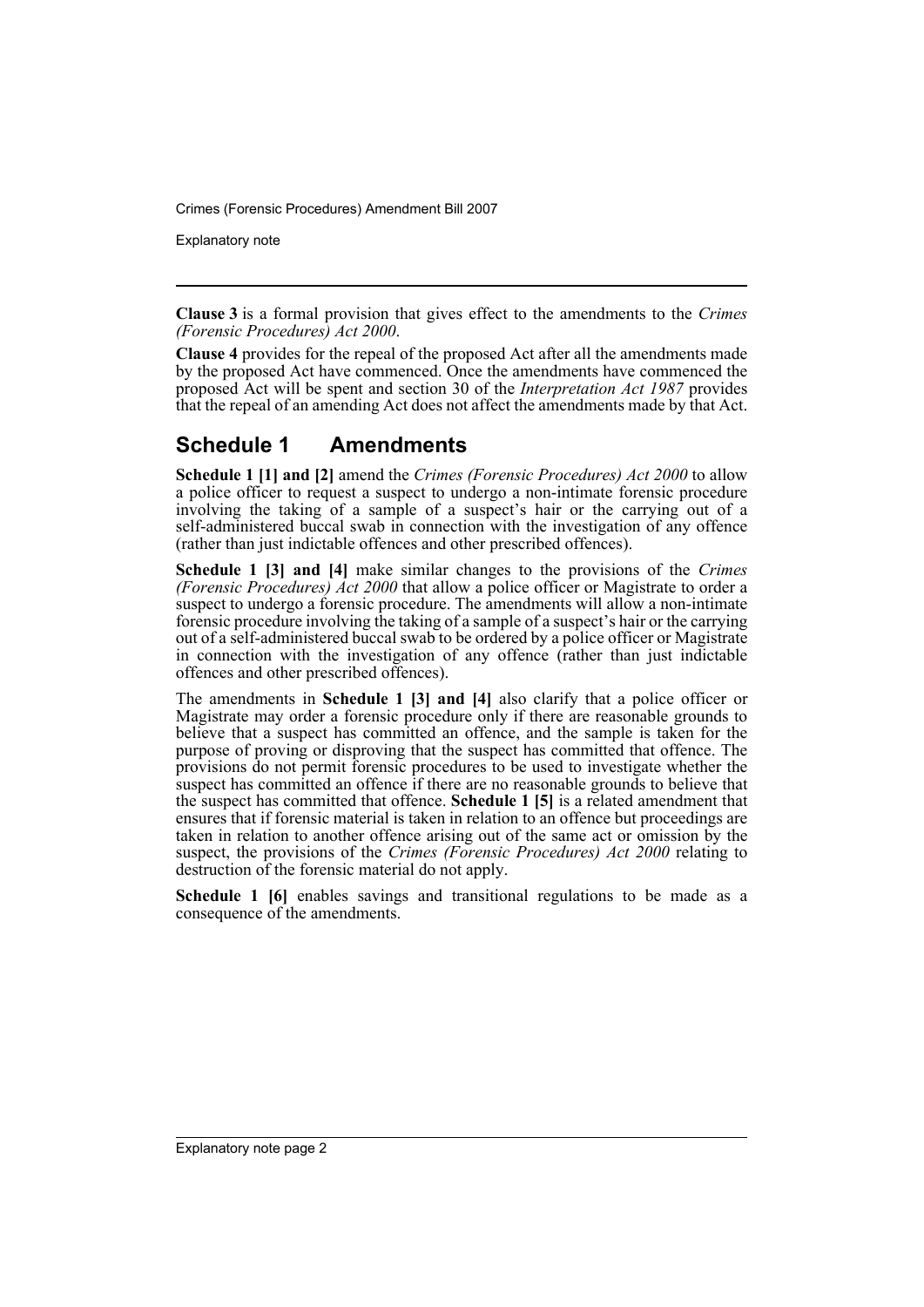Crimes (Forensic Procedures) Amendment Bill 2007

Explanatory note

**Clause 3** is a formal provision that gives effect to the amendments to the *Crimes (Forensic Procedures) Act 2000*.

**Clause 4** provides for the repeal of the proposed Act after all the amendments made by the proposed Act have commenced. Once the amendments have commenced the proposed Act will be spent and section 30 of the *Interpretation Act 1987* provides that the repeal of an amending Act does not affect the amendments made by that Act.

### **Schedule 1 Amendments**

**Schedule 1 [1] and [2]** amend the *Crimes (Forensic Procedures) Act 2000* to allow a police officer to request a suspect to undergo a non-intimate forensic procedure involving the taking of a sample of a suspect's hair or the carrying out of a self-administered buccal swab in connection with the investigation of any offence (rather than just indictable offences and other prescribed offences).

**Schedule 1 [3] and [4]** make similar changes to the provisions of the *Crimes (Forensic Procedures) Act 2000* that allow a police officer or Magistrate to order a suspect to undergo a forensic procedure. The amendments will allow a non-intimate forensic procedure involving the taking of a sample of a suspect's hair or the carrying out of a self-administered buccal swab to be ordered by a police officer or Magistrate in connection with the investigation of any offence (rather than just indictable offences and other prescribed offences).

The amendments in **Schedule 1 [3] and [4]** also clarify that a police officer or Magistrate may order a forensic procedure only if there are reasonable grounds to believe that a suspect has committed an offence, and the sample is taken for the purpose of proving or disproving that the suspect has committed that offence. The provisions do not permit forensic procedures to be used to investigate whether the suspect has committed an offence if there are no reasonable grounds to believe that the suspect has committed that offence. **Schedule 1** [5] is a related amendment that ensures that if forensic material is taken in relation to an offence but proceedings are taken in relation to another offence arising out of the same act or omission by the suspect, the provisions of the *Crimes (Forensic Procedures) Act 2000* relating to destruction of the forensic material do not apply.

**Schedule 1 [6]** enables savings and transitional regulations to be made as a consequence of the amendments.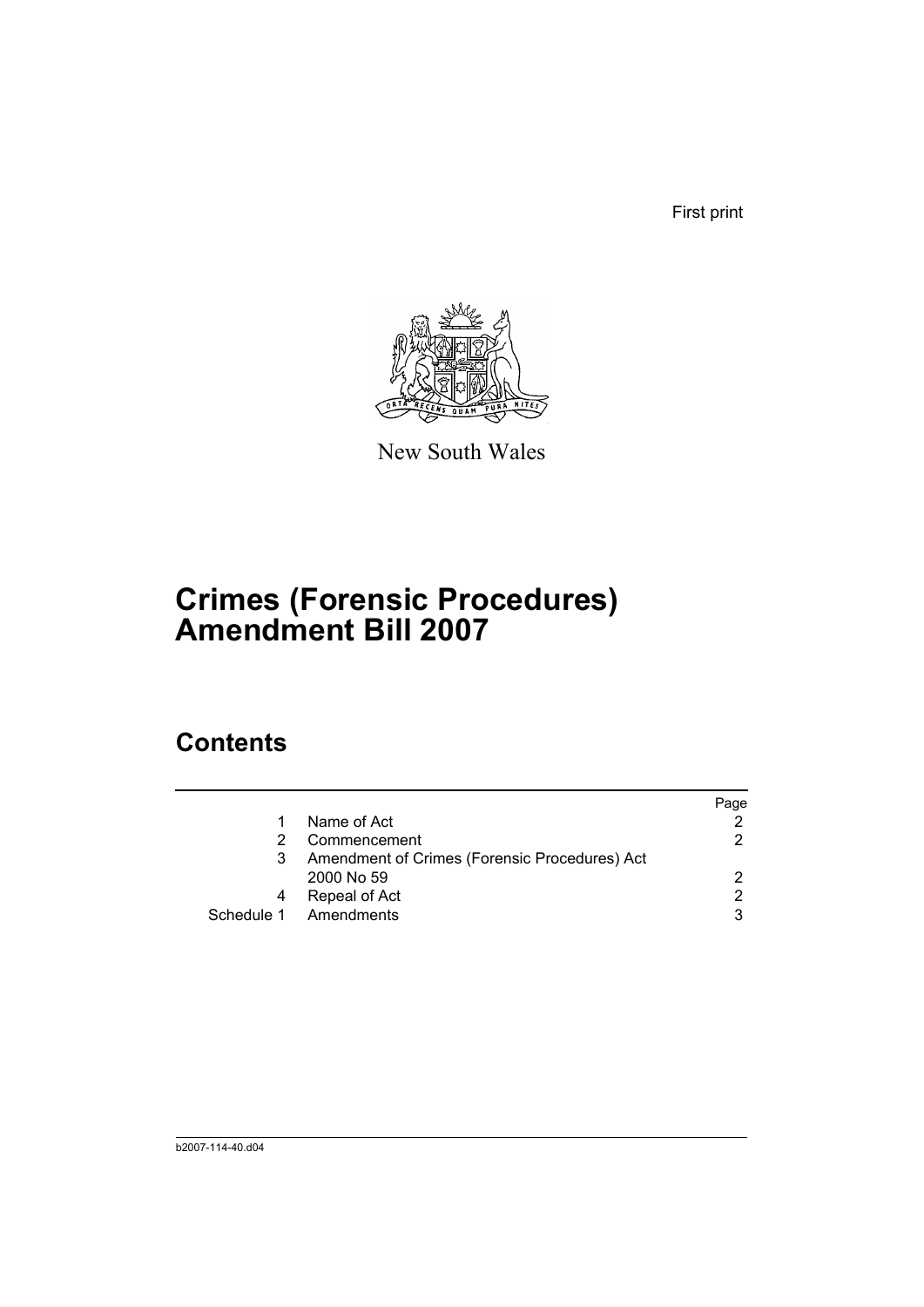First print



New South Wales

# **Crimes (Forensic Procedures) Amendment Bill 2007**

## **Contents**

|                                               | Page          |
|-----------------------------------------------|---------------|
| Name of Act                                   |               |
| Commencement                                  | 2             |
| Amendment of Crimes (Forensic Procedures) Act |               |
| 2000 No 59                                    | $\mathcal{P}$ |
| Repeal of Act                                 | 2             |
| Schedule 1 Amendments                         | 3             |
|                                               |               |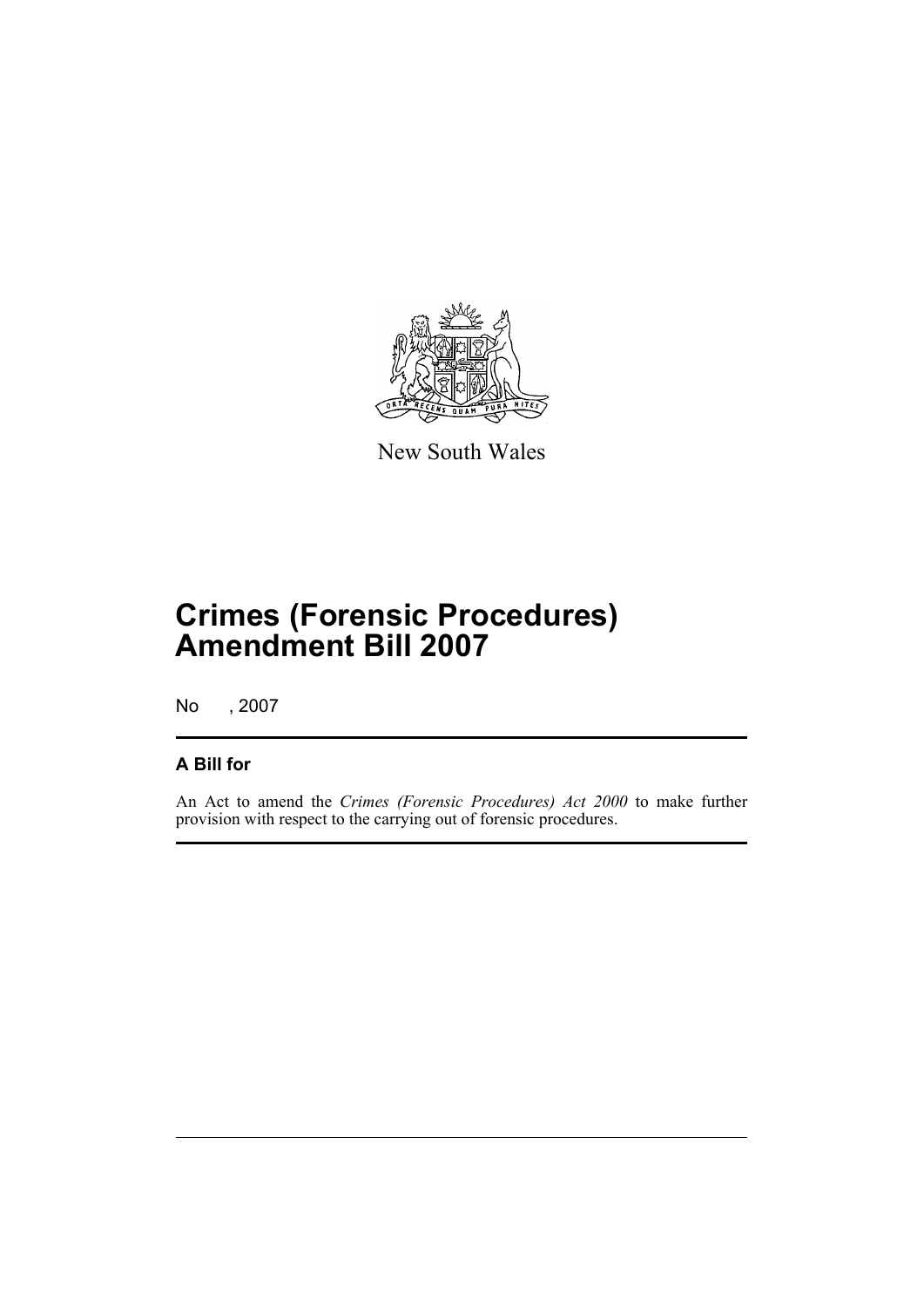

New South Wales

# **Crimes (Forensic Procedures) Amendment Bill 2007**

No , 2007

#### **A Bill for**

An Act to amend the *Crimes (Forensic Procedures) Act 2000* to make further provision with respect to the carrying out of forensic procedures.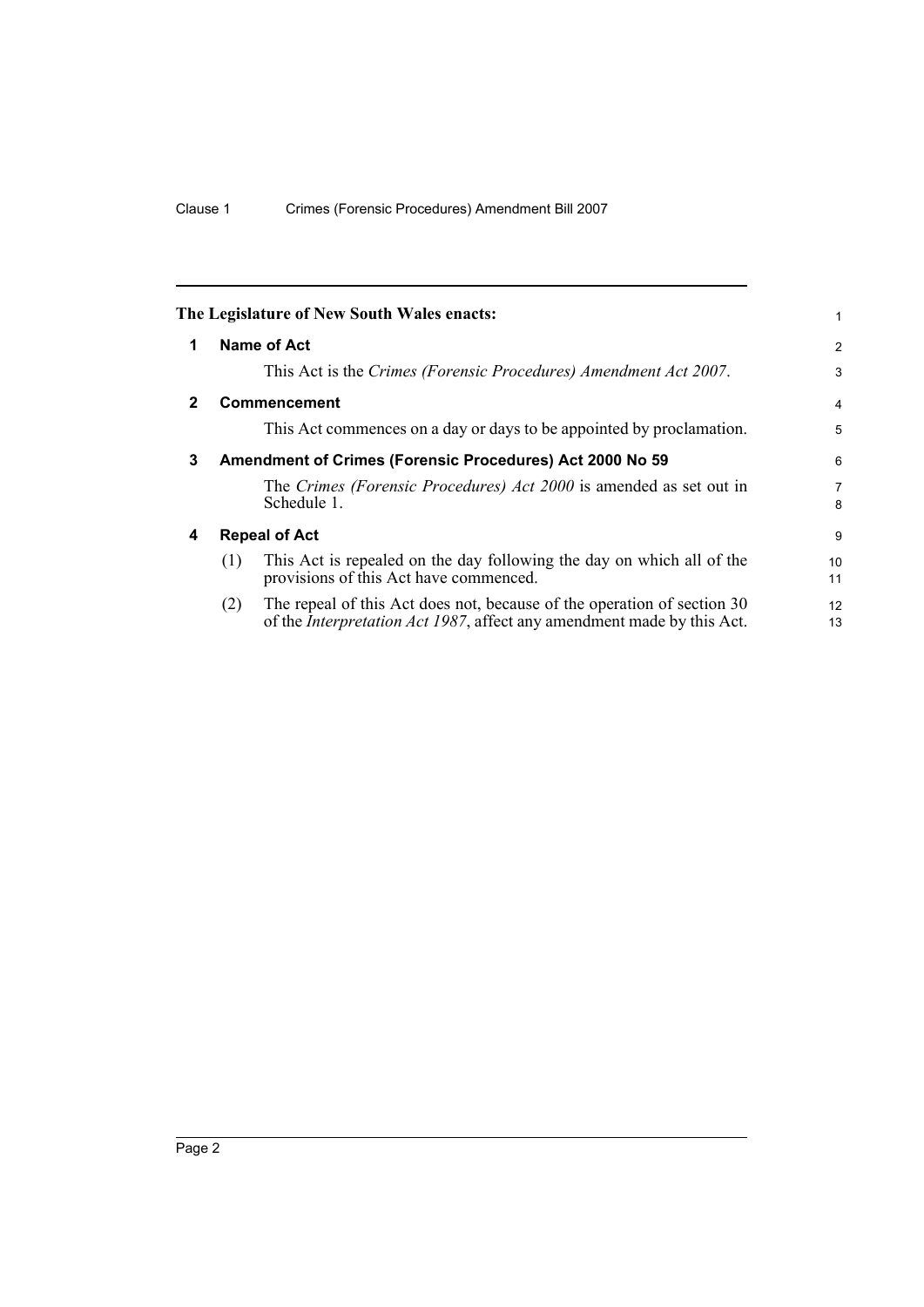<span id="page-5-3"></span><span id="page-5-2"></span><span id="page-5-1"></span><span id="page-5-0"></span>

|              | The Legislature of New South Wales enacts:               |                                                                                                                                                           | 1              |
|--------------|----------------------------------------------------------|-----------------------------------------------------------------------------------------------------------------------------------------------------------|----------------|
| 1            | Name of Act                                              |                                                                                                                                                           | $\overline{2}$ |
|              |                                                          | This Act is the Crimes (Forensic Procedures) Amendment Act 2007.                                                                                          | 3              |
| $\mathbf{2}$ | <b>Commencement</b>                                      |                                                                                                                                                           | 4              |
|              |                                                          | This Act commences on a day or days to be appointed by proclamation.                                                                                      | 5              |
| 3            | Amendment of Crimes (Forensic Procedures) Act 2000 No 59 |                                                                                                                                                           | 6              |
|              | Schedule 1.                                              | The Crimes (Forensic Procedures) Act 2000 is amended as set out in                                                                                        | 7<br>8         |
| 4            | <b>Repeal of Act</b>                                     |                                                                                                                                                           | 9              |
|              | (1)<br>provisions of this Act have commenced.            | This Act is repealed on the day following the day on which all of the                                                                                     | 10<br>11       |
|              | (2)                                                      | The repeal of this Act does not, because of the operation of section 30<br>of the <i>Interpretation Act 1987</i> , affect any amendment made by this Act. | 12<br>13       |
|              |                                                          |                                                                                                                                                           |                |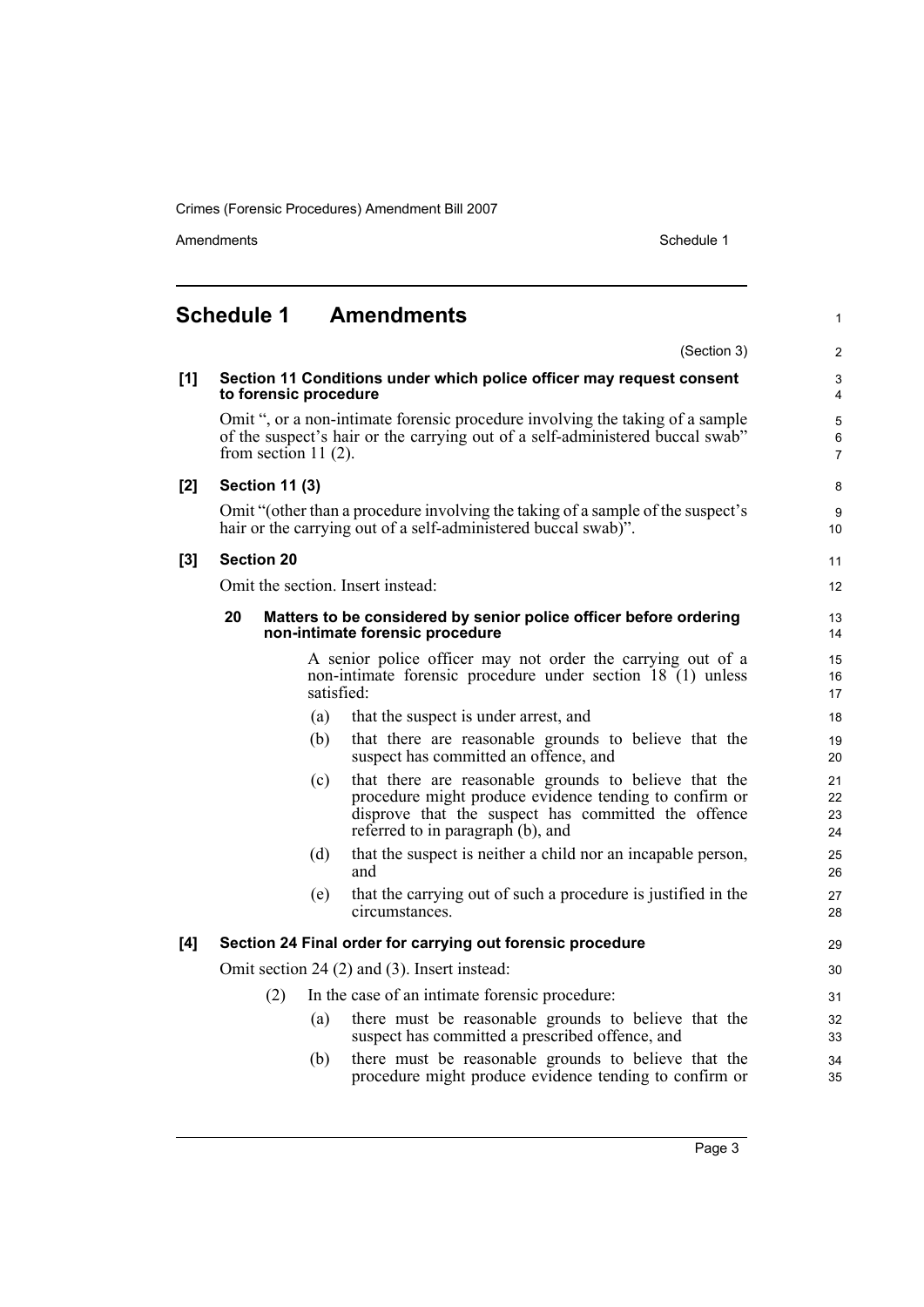Crimes (Forensic Procedures) Amendment Bill 2007

Amendments Schedule 1

1

## <span id="page-6-0"></span>**Schedule 1 Amendments**

|       |                                                            |            | (Section 3)                                                                                                                                                                                                 | $\overline{2}$           |
|-------|------------------------------------------------------------|------------|-------------------------------------------------------------------------------------------------------------------------------------------------------------------------------------------------------------|--------------------------|
| [1]   | to forensic procedure                                      |            | Section 11 Conditions under which police officer may request consent                                                                                                                                        | 3<br>4                   |
|       | from section 11 $(2)$ .                                    |            | Omit ", or a non-intimate forensic procedure involving the taking of a sample<br>of the suspect's hair or the carrying out of a self-administered buccal swab"                                              | 5<br>6<br>$\overline{7}$ |
| $[2]$ | <b>Section 11 (3)</b>                                      |            |                                                                                                                                                                                                             | 8                        |
|       |                                                            |            | Omit "(other than a procedure involving the taking of a sample of the suspect's<br>hair or the carrying out of a self-administered buccal swab)".                                                           | 9<br>10                  |
| $[3]$ | <b>Section 20</b>                                          |            |                                                                                                                                                                                                             | 11                       |
|       | Omit the section. Insert instead:                          |            |                                                                                                                                                                                                             | 12                       |
|       | 20                                                         |            | Matters to be considered by senior police officer before ordering<br>non-intimate forensic procedure                                                                                                        | 13<br>14                 |
|       |                                                            | satisfied: | A senior police officer may not order the carrying out of a<br>non-intimate forensic procedure under section 18 (1) unless                                                                                  | 15<br>16<br>17           |
|       |                                                            | (a)        | that the suspect is under arrest, and                                                                                                                                                                       | 18                       |
|       |                                                            | (b)        | that there are reasonable grounds to believe that the<br>suspect has committed an offence, and                                                                                                              | 19<br>20                 |
|       |                                                            | (c)        | that there are reasonable grounds to believe that the<br>procedure might produce evidence tending to confirm or<br>disprove that the suspect has committed the offence<br>referred to in paragraph (b), and | 21<br>22<br>23<br>24     |
|       |                                                            | (d)        | that the suspect is neither a child nor an incapable person,<br>and                                                                                                                                         | 25<br>26                 |
|       |                                                            | (e)        | that the carrying out of such a procedure is justified in the<br>circumstances.                                                                                                                             | 27<br>28                 |
| [4]   | Section 24 Final order for carrying out forensic procedure |            |                                                                                                                                                                                                             | 29                       |
|       | Omit section 24 (2) and (3). Insert instead:               |            |                                                                                                                                                                                                             | 30                       |
|       | (2)                                                        |            | In the case of an intimate forensic procedure:                                                                                                                                                              | 31                       |
|       |                                                            | (a)        | there must be reasonable grounds to believe that the<br>suspect has committed a prescribed offence, and                                                                                                     | 32<br>33                 |
|       |                                                            | (b)        | there must be reasonable grounds to believe that the<br>procedure might produce evidence tending to confirm or                                                                                              | 34<br>35                 |